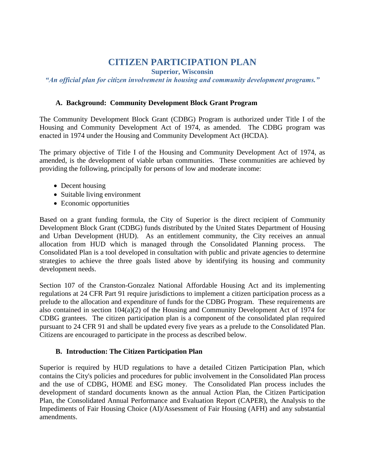# **CITIZEN PARTICIPATION PLAN**

**Superior, Wisconsin**

*"An official plan for citizen involvement in housing and community development programs."*

### **A. Background: Community Development Block Grant Program**

The Community Development Block Grant (CDBG) Program is authorized under Title I of the Housing and Community Development Act of 1974, as amended. The CDBG program was enacted in 1974 under the Housing and Community Development Act (HCDA).

The primary objective of Title I of the Housing and Community Development Act of 1974, as amended, is the development of viable urban communities. These communities are achieved by providing the following, principally for persons of low and moderate income:

- Decent housing
- Suitable living environment
- Economic opportunities

Based on a grant funding formula, the City of Superior is the direct recipient of Community Development Block Grant (CDBG) funds distributed by the United States Department of Housing and Urban Development (HUD). As an entitlement community, the City receives an annual allocation from HUD which is managed through the Consolidated Planning process. The Consolidated Plan is a tool developed in consultation with public and private agencies to determine strategies to achieve the three goals listed above by identifying its housing and community development needs.

Section 107 of the Cranston-Gonzalez National Affordable Housing Act and its implementing regulations at 24 CFR Part 91 require jurisdictions to implement a citizen participation process as a prelude to the allocation and expenditure of funds for the CDBG Program. These requirements are also contained in section  $104(a)(2)$  of the Housing and Community Development Act of 1974 for CDBG grantees. The citizen participation plan is a component of the consolidated plan required pursuant to 24 CFR 91 and shall be updated every five years as a prelude to the Consolidated Plan. Citizens are encouraged to participate in the process as described below.

# **B. Introduction: The Citizen Participation Plan**

Superior is required by HUD regulations to have a detailed Citizen Participation Plan, which contains the City's policies and procedures for public involvement in the Consolidated Plan process and the use of CDBG, HOME and ESG money. The Consolidated Plan process includes the development of standard documents known as the annual Action Plan, the Citizen Participation Plan, the Consolidated Annual Performance and Evaluation Report (CAPER), the Analysis to the Impediments of Fair Housing Choice (AI)/Assessment of Fair Housing (AFH) and any substantial amendments.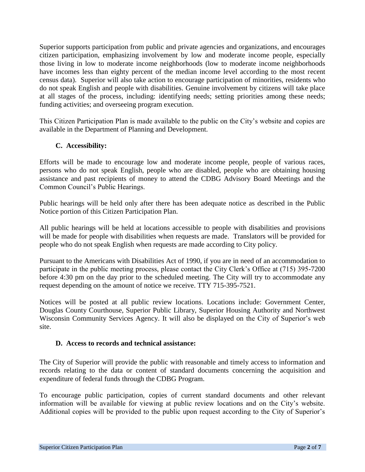Superior supports participation from public and private agencies and organizations, and encourages citizen participation, emphasizing involvement by low and moderate income people, especially those living in low to moderate income neighborhoods (low to moderate income neighborhoods have incomes less than eighty percent of the median income level according to the most recent census data). Superior will also take action to encourage participation of minorities, residents who do not speak English and people with disabilities. Genuine involvement by citizens will take place at all stages of the process, including: identifying needs; setting priorities among these needs; funding activities; and overseeing program execution.

This Citizen Participation Plan is made available to the public on the City's website and copies are available in the Department of Planning and Development.

#### **C. Accessibility:**

Efforts will be made to encourage low and moderate income people, people of various races, persons who do not speak English, people who are disabled, people who are obtaining housing assistance and past recipients of money to attend the CDBG Advisory Board Meetings and the Common Council's Public Hearings.

Public hearings will be held only after there has been adequate notice as described in the Public Notice portion of this Citizen Participation Plan.

All public hearings will be held at locations accessible to people with disabilities and provisions will be made for people with disabilities when requests are made. Translators will be provided for people who do not speak English when requests are made according to City policy.

Pursuant to the Americans with Disabilities Act of 1990, if you are in need of an accommodation to participate in the public meeting process, please contact the City Clerk's Office at (715) 395-7200 before 4:30 pm on the day prior to the scheduled meeting. The City will try to accommodate any request depending on the amount of notice we receive. TTY 715-395-7521.

Notices will be posted at all public review locations. Locations include: Government Center, Douglas County Courthouse, Superior Public Library, Superior Housing Authority and Northwest Wisconsin Community Services Agency. It will also be displayed on the City of Superior's web site.

#### **D. Access to records and technical assistance:**

The City of Superior will provide the public with reasonable and timely access to information and records relating to the data or content of standard documents concerning the acquisition and expenditure of federal funds through the CDBG Program.

To encourage public participation, copies of current standard documents and other relevant information will be available for viewing at public review locations and on the City's website. Additional copies will be provided to the public upon request according to the City of Superior's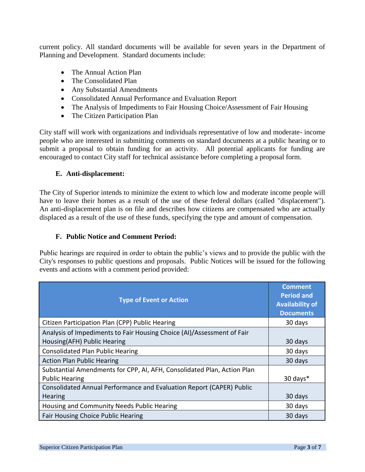current policy. All standard documents will be available for seven years in the Department of Planning and Development. Standard documents include:

- The Annual Action Plan
- The Consolidated Plan
- Any Substantial Amendments
- Consolidated Annual Performance and Evaluation Report
- The Analysis of Impediments to Fair Housing Choice/Assessment of Fair Housing
- The Citizen Participation Plan

City staff will work with organizations and individuals representative of low and moderate- income people who are interested in submitting comments on standard documents at a public hearing or to submit a proposal to obtain funding for an activity. All potential applicants for funding are encouraged to contact City staff for technical assistance before completing a proposal form.

#### **E. Anti-displacement:**

The City of Superior intends to minimize the extent to which low and moderate income people will have to leave their homes as a result of the use of these federal dollars (called "displacement"). An anti-displacement plan is on file and describes how citizens are compensated who are actually displaced as a result of the use of these funds, specifying the type and amount of compensation.

#### **F. Public Notice and Comment Period:**

Public hearings are required in order to obtain the public's views and to provide the public with the City's responses to public questions and proposals. Public Notices will be issued for the following events and actions with a comment period provided:

| <b>Type of Event or Action</b>                                                                        | <b>Comment</b><br><b>Period and</b><br><b>Availability of</b><br><b>Documents</b> |
|-------------------------------------------------------------------------------------------------------|-----------------------------------------------------------------------------------|
| Citizen Participation Plan (CPP) Public Hearing                                                       | 30 days                                                                           |
| Analysis of Impediments to Fair Housing Choice (AI)/Assessment of Fair<br>Housing(AFH) Public Hearing | 30 days                                                                           |
| <b>Consolidated Plan Public Hearing</b>                                                               | 30 days                                                                           |
| <b>Action Plan Public Hearing</b>                                                                     | 30 days                                                                           |
| Substantial Amendments for CPP, AI, AFH, Consolidated Plan, Action Plan                               |                                                                                   |
| <b>Public Hearing</b>                                                                                 | 30 days*                                                                          |
| Consolidated Annual Performance and Evaluation Report (CAPER) Public                                  |                                                                                   |
| Hearing                                                                                               | 30 days                                                                           |
| Housing and Community Needs Public Hearing                                                            | 30 days                                                                           |
| Fair Housing Choice Public Hearing                                                                    | 30 days                                                                           |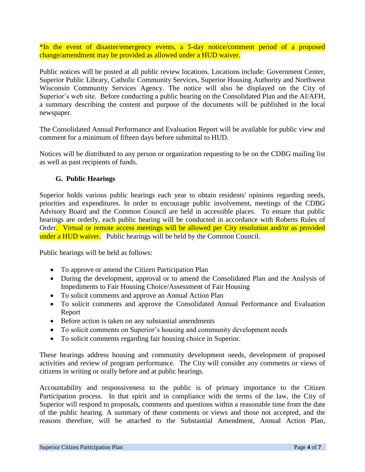\*In the event of disaster/emergency events, a 5-day notice/comment period of a proposed change/amendment may be provided as allowed under a HUD waiver.

Public notices will be posted at all public review locations. Locations include: Government Center, Superior Public Library, Catholic Community Services, Superior Housing Authority and Northwest Wisconsin Community Services Agency. The notice will also be displayed on the City of Superior's web site. Before conducting a public hearing on the Consolidated Plan and the AI/AFH, a summary describing the content and purpose of the documents will be published in the local newspaper.

The Consolidated Annual Performance and Evaluation Report will be available for public view and comment for a minimum of fifteen days before submittal to HUD.

Notices will be distributed to any person or organization requesting to be on the CDBG mailing list as well as past recipients of funds.

#### **G. Public Hearings**

Superior holds various public hearings each year to obtain residents' opinions regarding needs, priorities and expenditures. In order to encourage public involvement, meetings of the CDBG Advisory Board and the Common Council are held in accessible places. To ensure that public hearings are orderly, each public hearing will be conducted in accordance with Roberts Rules of Order. Virtual or remote access meetings will be allowed per City resolution and/or as provided under a HUD waiver. Public hearings will be held by the Common Council.

Public hearings will be held as follows:

- To approve or amend the Citizen Participation Plan
- During the development, approval or to amend the Consolidated Plan and the Analysis of Impediments to Fair Housing Choice/Assessment of Fair Housing
- To solicit comments and approve an Annual Action Plan
- To solicit comments and approve the Consolidated Annual Performance and Evaluation Report
- Before action is taken on any substantial amendments
- To solicit comments on Superior's housing and community development needs
- To solicit comments regarding fair housing choice in Superior.

These hearings address housing and community development needs, development of proposed activities and review of program performance. The City will consider any comments or views of citizens in writing or orally before and at public hearings.

Accountability and responsiveness to the public is of primary importance to the Citizen Participation process. In that spirit and in compliance with the terms of the law, the City of Superior will respond to proposals, comments and questions within a reasonable time from the date of the public hearing. A summary of these comments or views and those not accepted, and the reasons therefore, will be attached to the Substantial Amendment, Annual Action Plan,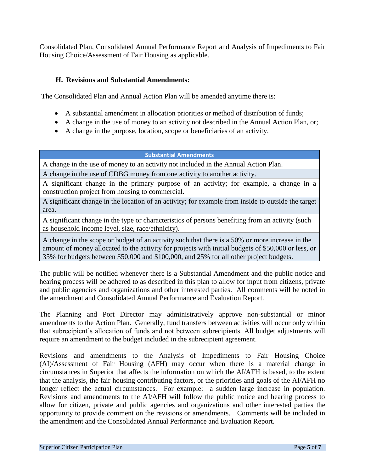Consolidated Plan, Consolidated Annual Performance Report and Analysis of Impediments to Fair Housing Choice/Assessment of Fair Housing as applicable.

#### **H. Revisions and Substantial Amendments:**

The Consolidated Plan and Annual Action Plan will be amended anytime there is:

- A substantial amendment in allocation priorities or method of distribution of funds;
- A change in the use of money to an activity not described in the Annual Action Plan, or;
- A change in the purpose, location, scope or beneficiaries of an activity.

**Substantial Amendments**

A change in the use of money to an activity not included in the Annual Action Plan.

A change in the use of CDBG money from one activity to another activity.

A significant change in the primary purpose of an activity; for example, a change in a construction project from housing to commercial.

A significant change in the location of an activity; for example from inside to outside the target area.

A significant change in the type or characteristics of persons benefiting from an activity (such as household income level, size, race/ethnicity).

A change in the scope or budget of an activity such that there is a 50% or more increase in the amount of money allocated to the activity for projects with initial budgets of \$50,000 or less, or 35% for budgets between \$50,000 and \$100,000, and 25% for all other project budgets.

The public will be notified whenever there is a Substantial Amendment and the public notice and hearing process will be adhered to as described in this plan to allow for input from citizens, private and public agencies and organizations and other interested parties. All comments will be noted in the amendment and Consolidated Annual Performance and Evaluation Report.

The Planning and Port Director may administratively approve non-substantial or minor amendments to the Action Plan. Generally, fund transfers between activities will occur only within that subrecipient's allocation of funds and not between subrecipients. All budget adjustments will require an amendment to the budget included in the subrecipient agreement.

Revisions and amendments to the Analysis of Impediments to Fair Housing Choice (AI)/Assessment of Fair Housing (AFH) may occur when there is a material change in circumstances in Superior that affects the information on which the AI/AFH is based, to the extent that the analysis, the fair housing contributing factors, or the priorities and goals of the AI/AFH no longer reflect the actual circumstances. For example: a sudden large increase in population. Revisions and amendments to the AI/AFH will follow the public notice and hearing process to allow for citizen, private and public agencies and organizations and other interested parties the opportunity to provide comment on the revisions or amendments. Comments will be included in the amendment and the Consolidated Annual Performance and Evaluation Report.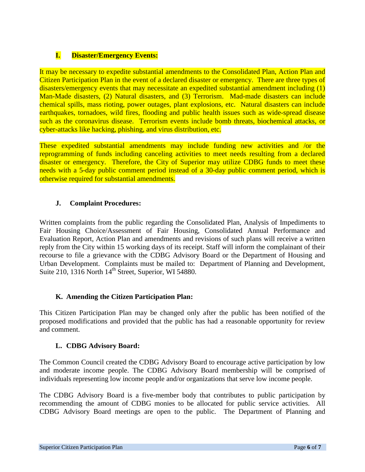# **I. Disaster/Emergency Events:**

It may be necessary to expedite substantial amendments to the Consolidated Plan, Action Plan and Citizen Participation Plan in the event of a declared disaster or emergency. There are three types of disasters/emergency events that may necessitate an expedited substantial amendment including (1) Man-Made disasters, (2) Natural disasters, and (3) Terrorism. Mad-made disasters can include chemical spills, mass rioting, power outages, plant explosions, etc. Natural disasters can include earthquakes, tornadoes, wild fires, flooding and public health issues such as wide-spread disease such as the coronavirus disease. Terrorism events include bomb threats, biochemical attacks, or cyber-attacks like hacking, phishing, and virus distribution, etc.

These expedited substantial amendments may include funding new activities and /or the reprogramming of funds including canceling activities to meet needs resulting from a declared disaster or emergency. Therefore, the City of Superior may utilize CDBG funds to meet these needs with a 5-day public comment period instead of a 30-day public comment period, which is otherwise required for substantial amendments.

# **J. Complaint Procedures:**

Written complaints from the public regarding the Consolidated Plan, Analysis of Impediments to Fair Housing Choice/Assessment of Fair Housing, Consolidated Annual Performance and Evaluation Report, Action Plan and amendments and revisions of such plans will receive a written reply from the City within 15 working days of its receipt. Staff will inform the complainant of their recourse to file a grievance with the CDBG Advisory Board or the Department of Housing and Urban Development. Complaints must be mailed to: Department of Planning and Development, Suite 210, 1316 North  $14<sup>th</sup>$  Street, Superior, WI 54880.

#### **K. Amending the Citizen Participation Plan:**

This Citizen Participation Plan may be changed only after the public has been notified of the proposed modifications and provided that the public has had a reasonable opportunity for review and comment.

# **L. CDBG Advisory Board:**

The Common Council created the CDBG Advisory Board to encourage active participation by low and moderate income people. The CDBG Advisory Board membership will be comprised of individuals representing low income people and/or organizations that serve low income people.

The CDBG Advisory Board is a five-member body that contributes to public participation by recommending the amount of CDBG monies to be allocated for public service activities. All CDBG Advisory Board meetings are open to the public. The Department of Planning and